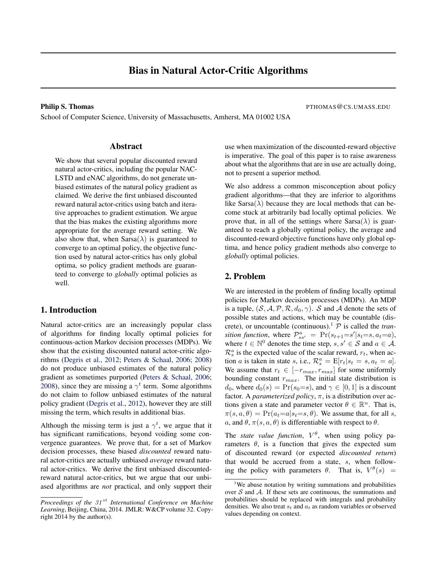# Bias in Natural Actor-Critic Algorithms

School of Computer Science, University of Massachusetts, Amherst, MA 01002 USA

**Philip S. Thomas** PTHOMAS **CCS.UMASS.EDU** 

#### Abstract

We show that several popular discounted reward natural actor-critics, including the popular NAC-LSTD and eNAC algorithms, do not generate unbiased estimates of the natural policy gradient as claimed. We derive the first unbiased discounted reward natural actor-critics using batch and iterative approaches to gradient estimation. We argue that the bias makes the existing algorithms more appropriate for the average reward setting. We also show that, when  $Sarsa(\lambda)$  is guaranteed to converge to an optimal policy, the objective function used by natural actor-critics has only global optima, so policy gradient methods are guaranteed to converge to *globally* optimal policies as well.

#### 1. Introduction

Natural actor-critics are an increasingly popular class of algorithms for finding locally optimal policies for continuous-action Markov decision processes (MDPs). We show that the existing discounted natural actor-critic algorithms [\(Degris et al.,](#page-7-0) [2012;](#page-7-0) [Peters & Schaal,](#page-7-0) [2006;](#page-7-0) [2008\)](#page-7-0) do not produce unbiased estimates of the natural policy gradient as sometimes purported [\(Peters & Schaal,](#page-7-0) [2006;](#page-7-0) [2008\)](#page-7-0), since they are missing a  $\gamma^t$  term. Some algorithms do not claim to follow unbiased estimates of the natural policy gradient [\(Degris et al.,](#page-7-0) [2012\)](#page-7-0), however they are still missing the term, which results in additional bias.

Although the missing term is just a  $\gamma^t$ , we argue that it has significant ramifications, beyond voiding some convergence guarantees. We prove that, for a set of Markov decision processes, these biased *discounted* reward natural actor-critics are actually unbiased *average* reward natural actor-critics. We derive the first unbiased discountedreward natural actor-critics, but we argue that our unbiased algorithms are *not* practical, and only support their use when maximization of the discounted-reward objective is imperative. The goal of this paper is to raise awareness about what the algorithms that are in use are actually doing, not to present a superior method.

We also address a common misconception about policy gradient algorithms—that they are inferior to algorithms like Sarsa( $\lambda$ ) because they are local methods that can become stuck at arbitrarily bad locally optimal policies. We prove that, in all of the settings where  $Sarsa(\lambda)$  is guaranteed to reach a globally optimal policy, the average and discounted-reward objective functions have only global optima, and hence policy gradient methods also converge to *globally* optimal policies.

## 2. Problem

We are interested in the problem of finding locally optimal policies for Markov decision processes (MDPs). An MDP is a tuple,  $(S, \mathcal{A}, \mathcal{P}, \mathcal{R}, d_0, \gamma)$ . S and A denote the sets of possible states and actions, which may be countable (discrete), or uncountable (continuous).<sup>1</sup>  $\mathcal P$  is called the *tran*sition function, where  $\mathcal{P}_{ss'}^a = \Pr(s_{t+1} = s' | s_t = s, a_t = a)$ , where  $t \in \mathbb{N}^0$  denotes the time step,  $s, s' \in \mathcal{S}$  and  $a \in \mathcal{A}$ .  $\mathcal{R}_s^a$  is the expected value of the scalar reward,  $r_t$ , when action *a* is taken in state *s*, i.e.,  $\mathcal{R}_s^a = \mathbb{E}[r_t|s_t = s, a_t = a]$ . We assume that  $r_t \in [-r_{max}, r_{max}]$  for some uniformly bounding constant  $r_{max}$ . The initial state distribution is  $d_0$ , where  $d_0(s) = Pr(s_0=s)$ , and  $\gamma \in [0,1]$  is a discount factor. A *parameterized policy*, π, is a distribution over actions given a state and parameter vector  $\theta \in \mathbb{R}^n$ . That is,  $\pi(s, a, \theta) = \Pr(a_t=a|s_t=s, \theta)$ . We assume that, for all s, a, and  $\theta$ ,  $\pi(s, a, \theta)$  is differentiable with respect to  $\theta$ .

The *state value function*,  $V^{\theta}$ , when using policy parameters  $\theta$ , is a function that gives the expected sum of discounted reward (or expected *discounted return*) that would be accrued from a state, s, when following the policy with parameters  $\theta$ . That is,  $V^{\theta}(s)$  =

*Proceedings of the 31<sup>st</sup> International Conference on Machine Learning*, Beijing, China, 2014. JMLR: W&CP volume 32. Copyright 2014 by the author(s).

<sup>&</sup>lt;sup>1</sup>We abuse notation by writing summations and probabilities over  $S$  and  $A$ . If these sets are continuous, the summations and probabilities should be replaced with integrals and probability densities. We also treat  $s_t$  and  $a_t$  as random variables or observed values depending on context.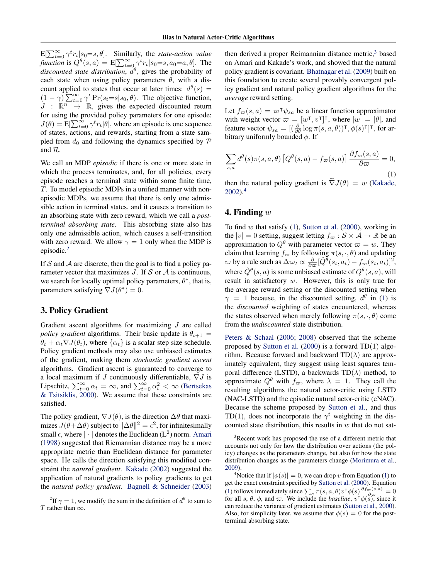<span id="page-1-0"></span> $E[\sum_{t=0}^{\infty} \gamma^t r_t | s_0 = s, \theta]$ . Similarly, the *state-action value function* is  $Q^{\theta}(s, a) = E[\sum_{t=0}^{\infty} \gamma^{t} r_{t} | s_{0} = s, a_{0} = a, \theta]$ . The  $discounted$  state distribution,  $\tilde{d}^{\theta}$ , gives the probability of each state when using policy parameters  $\theta$ , with a discount applied to states that occur at later times:  $d^{\theta}(s) =$  $(1 - \gamma) \sum_{t=0}^{\infty} \gamma^t Pr(s_t = s | s_0, \theta)$ . The objective function,  $J : \mathbb{R}^n \to \mathbb{R}$ , gives the expected discounted return for using the provided policy parameters for one episode:  $J(\theta) = \mathbb{E}[\sum_{t=0}^{\infty} \gamma^t r_t | \theta]$ , where an episode is one sequence of states, actions, and rewards, starting from a state sampled from  $d_0$  and following the dynamics specified by  $\mathcal P$ and R.

We call an MDP *episodic* if there is one or more state in which the process terminates, and, for all policies, every episode reaches a terminal state within some finite time, T. To model episodic MDPs in a unified manner with nonepisodic MDPs, we assume that there is only one admissible action in terminal states, and it causes a transition to an absorbing state with zero reward, which we call a *postterminal absorbing state*. This absorbing state also has only one admissible action, which causes a self-transition with zero reward. We allow  $\gamma = 1$  only when the MDP is episodic.<sup>2</sup>

If S and A are discrete, then the goal is to find a policy parameter vector that maximizes  $J$ . If  $S$  or  $A$  is continuous, we search for locally optimal policy parameters,  $\theta^*$ , that is, parameters satisfying  $\nabla J(\theta^*) = 0$ .

#### 3. Policy Gradient

Gradient ascent algorithms for maximizing  $J$  are called *policy gradient* algorithms. Their basic update is  $\theta_{t+1}$  =  $\theta_t + \alpha_t \nabla J(\theta_t)$ , where  $\{\alpha_t\}$  is a scalar step size schedule. Policy gradient methods may also use unbiased estimates of the gradient, making them *stochastic gradient ascent* algorithms. Gradient ascent is guaranteed to converge to a local maximum if J continuously differentiable,  $\nabla J$  is Lipschitz,  $\sum_{t=0}^{\infty} \alpha_t = \infty$ , and  $\sum_{t=0}^{\infty} \alpha_t^2 < \infty$  [\(Bertsekas](#page-7-0) [& Tsitsiklis,](#page-7-0) [2000\)](#page-7-0). We assume that these constraints are satisfied.

The policy gradient,  $\nabla J(\theta)$ , is the direction  $\Delta\theta$  that maximizes  $J(\theta + \Delta \theta)$  subject to  $\|\Delta \theta\|^2 = \epsilon^2$ , for infinitesimally small  $\epsilon$ , where  $\|\cdot\|$  denotes the Euclidean (L<sup>2</sup>) norm. [Amari](#page-7-0) [\(1998\)](#page-7-0) suggested that Riemannian distance may be a more appropriate metric than Euclidean distance for parameter space. He calls the direction satisfying this modified constraint the *natural gradient*. [Kakade](#page-7-0) [\(2002\)](#page-7-0) suggested the application of natural gradients to policy gradients to get the *natural policy gradient*. [Bagnell & Schneider](#page-7-0) [\(2003\)](#page-7-0) then derived a proper Reimannian distance metric, $3$  based on Amari and Kakade's work, and showed that the natural policy gradient is covariant. [Bhatnagar et al.](#page-7-0) [\(2009\)](#page-7-0) built on this foundation to create several provably convergent policy gradient and natural policy gradient algorithms for the *average* reward setting.

Let  $f_{\varpi}(s, a) = \varpi^{\mathsf{T}} \psi_{sa}$  be a linear function approximator with weight vector  $\varpi = [w^{\dagger}, v^{\dagger}]^{\dagger}$ , where  $|w| = |\theta|$ , and feature vector  $\psi_{sa} = [(\frac{\partial}{\partial \theta} \log \pi(s, a, \theta))$ <sup>T</sup>,  $\phi(s)$ <sup>T</sup>]<sup>T</sup>, for arbitrary uniformly bounded  $\phi$ . If

$$
\sum_{s,a} d^{\theta}(s)\pi(s,a,\theta) \left[Q^{\theta}(s,a) - f_{\varpi}(s,a)\right] \frac{\partial f_{\varpi}(s,a)}{\partial \varpi} = 0,
$$
\n(1)

then the natural policy gradient is  $\tilde{\nabla}J(\theta) = w$  [\(Kakade,](#page-7-0)  $2002$ <sup>4</sup>

#### 4. Finding  $w$

To find  $w$  that satisfy  $(1)$ , [Sutton et al.](#page-7-0)  $(2000)$ , working in the  $|v| = 0$  setting, suggest letting  $f_{\varpi} : \mathcal{S} \times \mathcal{A} \to \mathbb{R}$  be an approximation to  $Q^{\theta}$  with parameter vector  $\varpi = w$ . They claim that learning  $f_{\infty}$  by following  $\pi(s, \cdot, \theta)$  and updating  $\varpi$  by a rule such as  $\Delta \varpi_t \propto \frac{\partial}{\partial \varpi} [\hat{Q}^{\overline{\theta}}(s_t, a_t) - f_{\varpi}(s_t, a_t)]^2$ , where  $\hat{Q}^{\theta}(s, a)$  is some unbiased estimate of  $Q^{\theta}(s, a)$ , will result in satisfactory w. However, this is only true for the average reward setting or the discounted setting when  $\gamma = 1$  because, in the discounted setting,  $d^{\theta}$  in (1) is the *discounted* weighting of states encountered, whereas the states observed when merely following  $\pi(s, \cdot, \theta)$  come from the *undiscounted* state distribution.

[Peters & Schaal](#page-7-0) [\(2006;](#page-7-0) [2008\)](#page-7-0) observed that the scheme proposed by [Sutton et al.](#page-7-0) [\(2000\)](#page-7-0) is a forward TD(1) algorithm. Because forward and backward  $TD(\lambda)$  are approximately equivalent, they suggest using least squares temporal difference (LSTD), a backwards  $TD(\lambda)$  method, to approximate  $Q^{\theta}$  with  $f_{\varpi}$ , where  $\lambda = 1$ . They call the resulting algorithms the natural actor-critic using LSTD (NAC-LSTD) and the episodic natural actor-critic (eNAC). Because the scheme proposed by [Sutton et al.,](#page-7-0) and thus TD(1), does not incorporate the  $\gamma^t$  weighting in the discounted state distribution, this results in  $w$  that do not sat-

<sup>&</sup>lt;sup>2</sup>If  $\gamma = 1$ , we modify the sum in the definition of  $d^{\theta}$  to sum to T rather than  $\infty$ .

Recent work has proposed the use of a different metric that accounts not only for how the distribution over actions (the policy) changes as the parameters change, but also for how the state distribution changes as the parameters change [\(Morimura et al.,](#page-7-0) [2009\)](#page-7-0).

<sup>&</sup>lt;sup>4</sup>Notice that if  $|\phi(s)| = 0$ , we can drop v from Equation (1) to get the exact constraint specified by [Sutton et al.](#page-7-0) [\(2000\)](#page-7-0). Equation (1) follows immediately since  $\sum_a \pi(s, a, \theta) v^{\mathsf{T}} \phi(s) \frac{\partial f_\varpi(s, a)}{\partial \varpi} = 0$ for all s,  $\theta$ ,  $\phi$ , and  $\varpi$ . We include the *baseline*,  $v^{\dagger} \phi(s)$ , since it can reduce the variance of gradient estimates [\(Sutton et al.,](#page-7-0) [2000\)](#page-7-0). Also, for simplicity later, we assume that  $\phi(s) = 0$  for the postterminal absorbing state.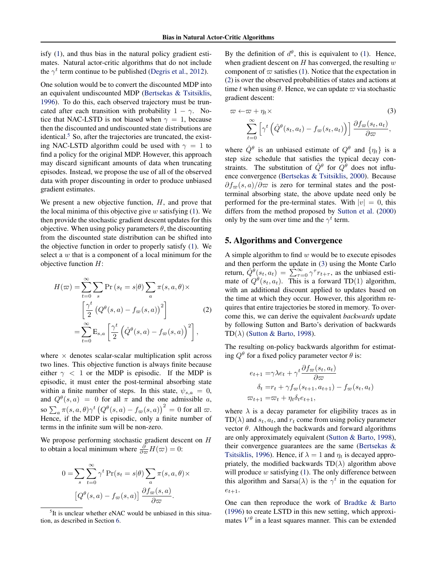isfy [\(1\)](#page-1-0), and thus bias in the natural policy gradient estimates. Natural actor-critic algorithms that do not include the  $\gamma^t$  term continue to be published [\(Degris et al.,](#page-7-0) [2012\)](#page-7-0).

One solution would be to convert the discounted MDP into an equivalent undiscounted MDP [\(Bertsekas & Tsitsiklis,](#page-7-0) [1996\)](#page-7-0). To do this, each observed trajectory must be truncated after each transition with probability  $1 - \gamma$ . Notice that NAC-LSTD is not biased when  $\gamma = 1$ , because then the discounted and undiscounted state distributions are identical. $5$  So, after the trajectories are truncated, the existing NAC-LSTD algorithm could be used with  $\gamma = 1$  to find a policy for the original MDP. However, this approach may discard significant amounts of data when truncating episodes. Instead, we propose the use of all of the observed data with proper discounting in order to produce unbiased gradient estimates.

We present a new objective function,  $H$ , and prove that the local minima of this objective give  $w$  satisfying [\(1\)](#page-1-0). We then provide the stochastic gradient descent updates for this objective. When using policy parameters  $\theta$ , the discounting from the discounted state distribution can be shifted into the objective function in order to properly satisfy [\(1\)](#page-1-0). We select a  $w$  that is a component of a local minimum for the objective function  $H$ :

$$
H(\varpi) = \sum_{t=0}^{\infty} \sum_{s} \Pr(s_t = s | \theta) \sum_{a} \pi(s, a, \theta) \times \left[ \frac{\gamma^t}{2} \left( Q^{\theta}(s, a) - f_{\varpi}(s, a) \right)^2 \right]
$$
\n
$$
= \sum_{t=0}^{\infty} \mathcal{E}_{s, a} \left[ \frac{\gamma^t}{2} \left( \hat{Q}^{\theta}(s, a) - f_{\varpi}(s, a) \right)^2 \right],
$$
\n(2)

where  $\times$  denotes scalar-scalar multiplication split across two lines. This objective function is always finite because either  $\gamma$  < 1 or the MDP is episodic. If the MDP is episodic, it must enter the post-terminal absorbing state within a finite number of steps. In this state,  $\psi_{s,a} = 0$ , and  $Q^{\theta}(s, a) = 0$  for all  $\pi$  and the one admissible a, so  $\sum_a \pi(s, a, \theta) \gamma^t \left(Q^{\theta}(s, a) - f_{\varpi}(s, a)\right)^2 = 0$  for all  $\varpi$ . Hence, if the MDP is episodic, only a finite number of terms in the infinite sum will be non-zero.

We propose performing stochastic gradient descent on H to obtain a local minimum where  $\frac{\partial}{\partial \varpi} H(\varpi) = 0$ :

$$
0 = \sum_{s} \sum_{t=0}^{\infty} \gamma^{t} \Pr(s_{t} = s | \theta) \sum_{a} \pi(s, a, \theta) \times
$$

$$
[Q^{\theta}(s, a) - f_{\varpi}(s, a)] \frac{\partial f_{\varpi}(s, a)}{\partial \varpi}.
$$

By the definition of  $d^{\theta}$ , this is equivalent to [\(1\)](#page-1-0). Hence, when gradient descent on  $H$  has converged, the resulting  $w$ component of  $\varpi$  satisfies [\(1\)](#page-1-0). Notice that the expectation in (2) is over the observed probabilities of states and actions at time t when using  $\theta$ . Hence, we can update  $\varpi$  via stochastic gradient descent:

$$
\varpi \leftarrow \varpi + \eta_t \times \qquad (3)
$$

$$
\sum_{t=0}^{\infty} \left[ \gamma^t \left( \hat{Q}^{\theta}(s_t, a_t) - f_{\varpi}(s_t, a_t) \right) \right] \frac{\partial f_{\varpi}(s_t, a_t)}{\partial \varpi},
$$

where  $\hat{Q}^{\theta}$  is an unbiased estimate of  $Q^{\theta}$  and  $\{\eta_t\}$  is a step size schedule that satisfies the typical decay constraints. The substitution of  $\hat{Q}^{\theta}$  for  $\hat{Q}^{\theta}$  does not influence convergence [\(Bertsekas & Tsitsiklis,](#page-7-0) [2000\)](#page-7-0). Because  $\partial f_{\varpi}(s, a)/\partial \varpi$  is zero for terminal states and the postterminal absorbing state, the above update need only be performed for the pre-terminal states. With  $|v| = 0$ , this differs from the method proposed by [Sutton et al.](#page-7-0) [\(2000\)](#page-7-0) only by the sum over time and the  $\gamma^t$  term.

#### 5. Algorithms and Convergence

A simple algorithm to find  $w$  would be to execute episodes and then perform the update in (3) using the Monte Carlo return,  $\hat{Q}^{\hat{\theta}}(s_t, a_t) = \sum_{\tau=0}^{\infty} \gamma^{\tau} r_{t+\tau}$ , as the unbiased estimate of  $Q^{\theta}(s_t, a_t)$ . This is a forward TD(1) algorithm, with an additional discount applied to updates based on the time at which they occur. However, this algorithm requires that entire trajectories be stored in memory. To overcome this, we can derive the equivalent *backwards* update by following Sutton and Barto's derivation of backwards TD( $\lambda$ ) [\(Sutton & Barto,](#page-7-0) [1998\)](#page-7-0).

The resulting on-policy backwards algorithm for estimating  $Q^{\theta}$  for a fixed policy parameter vector  $\theta$  is:

$$
e_{t+1} = \gamma \lambda e_t + \gamma^t \frac{\partial f_\infty(s_t, a_t)}{\partial \varpi}
$$

$$
\delta_t = r_t + \gamma f_\infty(s_{t+1}, a_{t+1}) - f_\infty(s_t, a_t)
$$

$$
\varpi_{t+1} = \varpi_t + \eta_t \delta_t e_{t+1},
$$

where  $\lambda$  is a decay parameter for eligibility traces as in  $TD(\lambda)$  and  $s_t, a_t$ , and  $r_t$  come from using policy parameter vector  $θ$ . Although the backwards and forward algorithms are only approximately equivalent [\(Sutton & Barto,](#page-7-0) [1998\)](#page-7-0), their convergence guarantees are the same [\(Bertsekas &](#page-7-0) [Tsitsiklis,](#page-7-0) [1996\)](#page-7-0). Hence, if  $\lambda = 1$  and  $\eta_t$  is decayed appropriately, the modified backwards  $TD(\lambda)$  algorithm above will produce  $w$  satisfying  $(1)$ . The only difference between this algorithm and Sarsa( $\lambda$ ) is the  $\gamma^t$  in the equation for  $e_{t+1}$ .

One can then reproduce the work of [Bradtke & Barto](#page-7-0) [\(1996\)](#page-7-0) to create LSTD in this new setting, which approximates  $V^{\theta}$  in a least squares manner. This can be extended

<sup>&</sup>lt;sup>5</sup>It is unclear whether eNAC would be unbiased in this situation, as described in Section [6.](#page-4-0)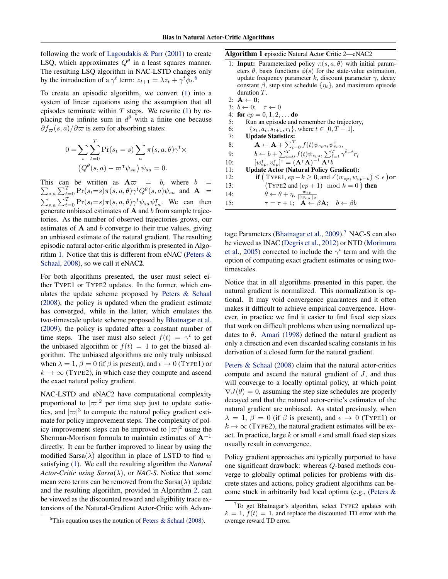following the work of [Lagoudakis & Parr](#page-7-0) [\(2001\)](#page-7-0) to create LSQ, which approximates  $Q^{\theta}$  in a least squares manner. The resulting LSQ algorithm in NAC-LSTD changes only by the introduction of a  $\gamma^t$  term:  $z_{t+1} = \lambda z_t + \gamma^t \tilde{\phi}_t$ .<sup>6</sup>

To create an episodic algorithm, we convert [\(1\)](#page-1-0) into a system of linear equations using the assumption that all episodes terminate within  $T$  steps. We rewrite [\(1\)](#page-1-0) by replacing the infinite sum in  $d^{\theta}$  with a finite one because  $\partial f_{\varpi}(s, a)/\partial \varpi$  is zero for absorbing states:

$$
0 = \sum_{s} \sum_{t=0}^{T} \Pr(s_t = s) \sum_{a} \pi(s, a, \theta) \gamma^t \times
$$

$$
(Q^{\theta}(s, a) - \varpi^{\mathsf{T}} \psi_{sa}) \psi_{sa} = 0.
$$

 $\sum_{s,a} \sum_{t=0}^{T} \Pr(s_t = s) \pi(s, a, \theta) \gamma^t Q^{\theta}(s, a) \psi_{sa}$  and  $\mathbf{A}$  = This can be written as  $A\varpi = b$ , where  $b =$  $\sum_{s,a} \sum_{t=0}^{T} \Pr(s_t = s) \pi(s, a, \theta) \gamma^t \psi_{sa} \psi_{sa}^{\mathsf{T}}$ . We can then generate unbiased estimates of  $A$  and  $b$  from sample trajectories. As the number of observed trajectories grows, our estimates of  $A$  and  $b$  converge to their true values, giving an unbiased estimate of the natural gradient. The resulting episodic natural actor-critic algorithm is presented in Algorithm 1. Notice that this is different from eNAC [\(Peters &](#page-7-0) [Schaal,](#page-7-0) [2008\)](#page-7-0), so we call it eNAC2.

For both algorithms presented, the user must select either TYPE1 or TYPE2 updates. In the former, which emulates the update scheme proposed by [Peters & Schaal](#page-7-0) [\(2008\)](#page-7-0), the policy is updated when the gradient estimate has converged, while in the latter, which emulates the two-timescale update scheme proposed by [Bhatnagar et al.](#page-7-0) [\(2009\)](#page-7-0), the policy is updated after a constant number of time steps. The user must also select  $f(t) = \gamma^t$  to get the unbiased algorithm or  $f(t) = 1$  to get the biased algorithm. The unbiased algorithms are only truly unbiased when  $\lambda = 1$ ,  $\beta = 0$  (if  $\beta$  is present), and  $\epsilon \rightarrow 0$  (TYPE1) or  $k \to \infty$  (TYPE2), in which case they compute and ascend the exact natural policy gradient.

NAC-LSTD and eNAC2 have computational complexity proportional to  $|\varpi|^2$  per time step just to update statistics, and  $|\varpi|^3$  to compute the natural policy gradient estimate for policy improvement steps. The complexity of policy improvement steps can be improved to  $|\varpi|^2$  using the Sherman-Morrison formula to maintain estimates of  $A^{-1}$ directly. It can be further improved to linear by using the modified Sarsa( $\lambda$ ) algorithm in place of LSTD to find w satisfying [\(1\)](#page-1-0). We call the resulting algorithm the *Natural Actor-Critic using Sarsa* $(\lambda)$ , or *NAC-S*. Notice that some mean zero terms can be removed from the  $Sarsa(\lambda)$  update and the resulting algorithm, provided in Algorithm [2,](#page-4-0) can be viewed as the discounted reward and eligibility trace extensions of the Natural-Gradient Actor-Critic with AdvanAlgorithm 1 episodic Natural Actor Critic 2—eNAC2

- 1: **Input:** Parameterized policy  $\pi(s, a, \theta)$  with initial parameters  $\theta$ , basis functions  $\phi(s)$  for the state-value estimation, update frequency parameter k, discount parameter  $\gamma$ , decay constant  $\beta$ , step size schedule  $\{\eta_t\}$ , and maximum episode duration T.
- 2:  $A \leftarrow 0$ ; 3:  $b \leftarrow 0; \quad \tau \leftarrow 0$ 4: for  $ep = 0, 1, 2, \ldots$  do 5: Run an episode and remember the trajectory, 6:  $\{s_t, a_t, s_{t+1}, r_t\}$ , where  $t \in [0, T-1]$ . 7: Update Statistics: 8:  $\mathbf{A} \leftarrow \mathbf{A} + \sum_{t=0}^{T} f(t) \psi_{s_t a_t} \psi_{s_t a_t}^{\mathsf{T}}$ 9:  $b \leftarrow b + \sum_{t=0}^{T} f(t) \psi_{s_t a_t} \sum_{\hat{t}=t}^{T} \gamma^{\hat{t}-t} r_{\hat{t}}$ 10:  $[w_{ep}^\mathsf{T}, v_{ep}^\mathsf{T}]^\mathsf{T} = (\mathbf{A}^\mathsf{T} \mathbf{A})^{-1} \mathbf{A}^\mathsf{T} b$ 11: Update Actor (Natural Policy Gradient): 12: **if**  $(\text{Type1}, ep-k \geq 0, \text{and } \measuredangle(w_{ep}, w_{ep-k}) \leq \epsilon)$  or 13: TYPE2 and  $(ep + 1) \mod k = 0$ ) then 14:  $\theta \leftarrow \theta + \eta_{\tau} \frac{w_{ep}}{||w_{ep}||_2}$ <br>
15:  $\tau = \tau + 1; \quad \mathbf{A} \leftarrow \beta \mathbf{A}; \quad b \leftarrow \beta b$

tage Parameters [\(Bhatnagar et al.,](#page-7-0)  $2009$ ).<sup>7</sup> NAC-S can also be viewed as INAC [\(Degris et al.,](#page-7-0) [2012\)](#page-7-0) or NTD [\(Morimura](#page-7-0) [et al.,](#page-7-0) [2005\)](#page-7-0) corrected to include the  $\gamma^t$  term and with the option of computing exact gradient estimates or using twotimescales.

Notice that in all algorithms presented in this paper, the natural gradient is normalized. This normalization is optional. It may void convergence guarantees and it often makes it difficult to achieve empirical convergence. However, in practice we find it easier to find fixed step sizes that work on difficult problems when using normalized updates to  $\theta$ . [Amari](#page-7-0) [\(1998\)](#page-7-0) defined the natural gradient as only a direction and even discarded scaling constants in his derivation of a closed form for the natural gradient.

[Peters & Schaal](#page-7-0) [\(2008\)](#page-7-0) claim that the natural actor-critics compute and ascend the natural gradient of J, and thus will converge to a locally optimal policy, at which point  $\nabla J(\theta) = 0$ , assuming the step size schedules are properly decayed and that the natural actor-critic's estimates of the natural gradient are unbiased. As stated previously, when  $\lambda = 1, \beta = 0$  (if  $\beta$  is present), and  $\epsilon \rightarrow 0$  (TYPE1) or  $k \to \infty$  (TYPE2), the natural gradient estimates will be exact. In practice, large k or small  $\epsilon$  and small fixed step sizes usually result in convergence.

Policy gradient approaches are typically purported to have one significant drawback: whereas Q-based methods converge to globally optimal policies for problems with discrete states and actions, policy gradient algorithms can become stuck in arbitrarily bad local optima (e.g., [\(Peters &](#page-7-0)

<sup>&</sup>lt;sup>6</sup>[This equation uses the notation of](#page-7-0) [Peters & Schaal](#page-7-0) [\(2008\)](#page-7-0).

<sup>7</sup>[To get Bhatnagar's algorithm, select T](#page-7-0)YPE2 updates with  $k = 1$ ,  $f(t) = 1$ [, and replace the discounted TD error with the](#page-7-0) [average reward TD error.](#page-7-0)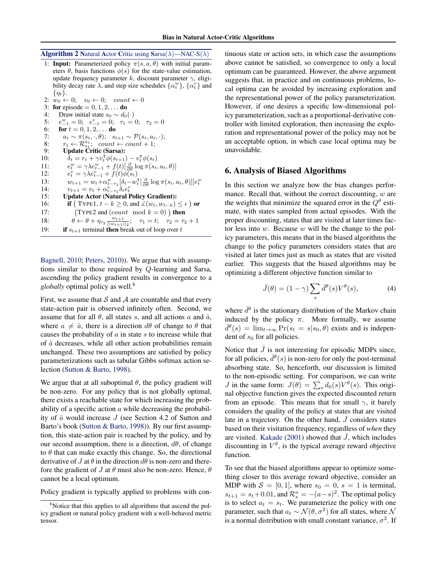#### <span id="page-4-0"></span>**Algorithm 2 Natural Actor Critic using Sarsa(** $\lambda$ **)**—NAC-S( $\lambda$ )

1: **Input:** Parameterized policy  $\pi(s, a, \theta)$  with initial parameters  $\theta$ , basis functions  $\phi(s)$  for the state-value estimation, update frequency parameter k, discount parameter  $\gamma$ , eligibility decay rate  $\lambda$ , and step size schedules  $\{\alpha_t^w\}$ ,  $\{\alpha_t^v\}$  and  $\{\eta_t\}.$ 

2:  $w_0 \leftarrow 0; \quad v_0 \leftarrow 0; \quad count \leftarrow 0$ 3: for episode =  $0, 1, 2, \ldots$  do 4: Draw initial state  $s_0 \sim d_0(\cdot)$ <br>5:  $e_{-1}^w = 0$ ;  $e_{-1}^v = 0$ ;  $\tau_1 =$ 5:  $e_{-1}^w = 0$ ;  $e_{-1}^v = 0$ ;  $\tau_1 = 0$ ;  $\tau_2 = 0$ 6: **for**  $t = 0, 1, 2, ...$  **do** 7:  $a_t \sim \pi(s_t, \cdot, \theta); s_{t+1} \sim \mathcal{P}(s_t, a_t, \cdot);$ 8:  $r_t \leftarrow \mathcal{R}_{s_t}^{a_t}; \quad count \leftarrow count + 1;$ 9: Update Critic (Sarsa): 10:  $\delta_t = r_t + \gamma v_t^{\mathsf{T}} \phi(s_{t+1}) - v_t^{\mathsf{T}} \phi(s_t)$ <br>
11:  $e_t^w = \gamma \lambda e_{t-1}^w + f(t) [\frac{\partial}{\partial \theta} \log \pi(s_t, a_t, \theta)]$  $11:$  $12:$  $\overline{v}_t^v = \gamma \lambda e_{t-1}^v + f(t) \phi(s_t)$ 13:  $w_{t+1} = w_t + \alpha_{t-\tau_1}^w \left[ \delta_t - w_t^{\mathrm{T}} \left[ \frac{\partial}{\partial \theta} \log \pi(s_t, a_t, \theta) \right] \right] e_t^w$ 14:  $v_{t+1} = v_t + \alpha_{t-\tau_1}^v \delta_t e_t^v$ 15: Update Actor (Natural Policy Gradient): 16: **if**  $(\text{Type1}, t - k \geq 0, \text{ and } \measuredangle(w_t, w_{t-k}) \leq \epsilon)$  or 17: TYPE2 and  $\text{(count mod } k = 0)$ ) then 18:  $\theta \leftarrow \theta + \eta_{\tau_2} \frac{w_{t+1}}{||w_{t+1}||_2}; \quad \tau_1 = t; \quad \tau_2 = \tau_2 + 1$ 19: **if**  $s_{t+1}$  terminal **then** break out of loop over t

[Bagnell,](#page-7-0) [2010;](#page-7-0) [Peters,](#page-7-0) [2010\)](#page-7-0)). We argue that with assumptions similar to those required by Q-learning and Sarsa, ascending the policy gradient results in convergence to a *globally* optimal policy as well.<sup>8</sup>

First, we assume that  $S$  and  $A$  are countable and that every state-action pair is observed infinitely often. Second, we assume that for all  $\theta$ , all states s, and all actions a and  $\hat{a}$ , where  $a \neq \hat{a}$ , there is a direction  $d\theta$  of change to  $\theta$  that causes the probability of  $\alpha$  in state  $s$  to increase while that of  $\hat{a}$  decreases, while all other action probabilities remain unchanged. These two assumptions are satisfied by policy parameterizations such as tabular Gibbs softmax action selection [\(Sutton & Barto,](#page-7-0) [1998\)](#page-7-0).

We argue that at all suboptimal  $\theta$ , the policy gradient will be non-zero. For any policy that is not globally optimal, there exists a reachable state for which increasing the probability of a specific action  $\alpha$  while decreasing the probability of  $\hat{a}$  would increase  $J$  (see Section 4.2 of Sutton and Barto's book [\(Sutton & Barto,](#page-7-0) [1998\)](#page-7-0)). By our first assumption, this state-action pair is reached by the policy, and by our second assumption, there is a direction,  $d\theta$ , of change to  $\theta$  that can make exactly this change. So, the directional derivative of J at  $\theta$  in the direction  $d\theta$  is non-zero and therefore the gradient of J at  $\theta$  must also be non-zero. Hence,  $\theta$ cannot be a local optimum.

Policy gradient is typically applied to problems with con-

tinuous state or action sets, in which case the assumptions above cannot be satisfied, so convergence to only a local optimum can be guaranteed. However, the above argument suggests that, in practice and on continuous problems, local optima can be avoided by increasing exploration and the representational power of the policy parameterization. However, if one desires a specific low-dimensional policy parameterization, such as a proportional-derivative controller with limited exploration, then increasing the exploration and representational power of the policy may not be an acceptable option, in which case local optima may be unavoidable.

#### 6. Analysis of Biased Algorithms

In this section we analyze how the bias changes performance. Recall that, without the correct discounting,  $w$  are the weights that minimize the squared error in the  $Q^{\theta}$  estimate, with states sampled from actual episodes. With the proper discounting, states that are visited at later times factor less into  $w$ . Because  $w$  will be the change to the policy parameters, this means that in the biased algorithms the change to the policy parameters considers states that are visited at later times just as much as states that are visited earlier. This suggests that the biased algorithms may be optimizing a different objective function similar to

$$
\bar{J}(\theta) = (1 - \gamma) \sum_{s} \bar{d}^{\theta}(s) V^{\theta}(s), \tag{4}
$$

where  $\bar{d}^{\theta}$  is the stationary distribution of the Markov chain induced by the policy  $\pi$ . More formally, we assume  $\bar{d}^{\theta}(s) = \lim_{t \to \infty} \Pr(s_t = s | s_0, \theta)$  exists and is independent of  $s_0$  for all policies.

Notice that  $\bar{J}$  is not interesting for episodic MDPs since, for all policies,  $\bar{d}^{\theta}(s)$  is non-zero for only the post-terminal absorbing state. So, henceforth, our discussion is limited to the non-episodic setting. For comparison, we can write *J* in the same form:  $J(\theta) = \sum_s d_0(s) V^{\theta}(s)$ . This original objective function gives the expected discounted return from an episode. This means that for small  $\gamma$ , it barely considers the quality of the policy at states that are visited late in a trajectory. On the other hand,  $\bar{J}$  considers states based on their visitation frequency, regardless of *when* they are visited. [Kakade](#page-7-0) [\(2001\)](#page-7-0) showed that  $\bar{J}$ , which includes discounting in  $V^{\theta}$ , is the typical average reward objective function.

To see that the biased algorithms appear to optimize something closer to this average reward objective, consider an MDP with  $S = [0, 1]$ , where  $s_0 = 0$ ,  $s = 1$  is terminal,  $s_{t+1} = s_t + 0.01$ , and  $\mathcal{R}_s^a = -(a-s)^2$ . The optimal policy is to select  $a_t = s_t$ . We parameterize the policy with one parameter, such that  $a_t \sim \mathcal{N}(\theta, \sigma^2)$  for all states, where  $\mathcal N$ is a normal distribution with small constant variance,  $\sigma^2$ . If

 $8^8$ Notice that this applies to all algorithms that ascend the policy gradient or natural policy gradient with a well-behaved metric tensor.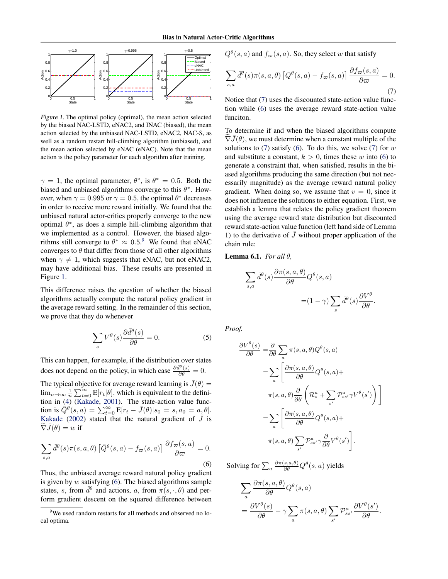<span id="page-5-0"></span>

Figure 1. The optimal policy (optimal), the mean action selected by the biased NAC-LSTD, eNAC2, and INAC (biased), the mean action selected by the unbiased NAC-LSTD, eNAC2, NAC-S, as well as a random restart hill-climbing algorithm (unbiased), and the mean action selected by eNAC (eNAC). Note that the mean action is the policy parameter for each algorithm after training.

 $\gamma = 1$ , the optimal parameter,  $\theta^*$ , is  $\theta^* = 0.5$ . Both the biased and unbiased algorithms converge to this  $\theta^*$ . However, when  $\gamma = 0.995$  or  $\gamma = 0.5$ , the optimal  $\theta^*$  decreases in order to receive more reward initially. We found that the unbiased natural actor-critics properly converge to the new optimal  $\theta^*$ , as does a simple hill-climbing algorithm that we implemented as a control. However, the biased algorithms still converge to  $\theta^* \approx 0.5$ .<sup>9</sup> We found that eNAC converges to  $\theta$  that differ from those of all other algorithms when  $\gamma \neq 1$ , which suggests that eNAC, but not eNAC2, may have additional bias. These results are presented in Figure 1.

This difference raises the question of whether the biased algorithms actually compute the natural policy gradient in the average reward setting. In the remainder of this section, we prove that they do whenever

$$
\sum_{s} V^{\theta}(s) \frac{\partial \bar{d}^{\theta}(s)}{\partial \theta} = 0.
$$
 (5)

This can happen, for example, if the distribution over states does not depend on the policy, in which case  $\frac{\partial \bar{d}^{\theta}(s)}{\partial \theta} = 0$ .

The typical objective for average reward learning is  $\bar{J}(\theta) =$  $\lim_{n\to\infty}\frac{1}{n}\sum_{t=0}^{\infty}E[r_t|\theta]$ , which is equivalent to the definition in [\(4\)](#page-4-0) [\(Kakade,](#page-7-0) [2001\)](#page-7-0). The state-action value function is  $\hat{Q}^{\theta}(s, a) = \sum_{t=0}^{\infty} \mathbf{E}[r_t - \bar{J}(\theta)|s_0 = s, a_0 = a_0 \theta].$ [Kakade](#page-7-0) [\(2002\)](#page-7-0) stated that the natural gradient of  $\bar{J}$  is  $\tilde{\nabla} \bar{J}(\theta) = w$  if

$$
\sum_{s,a} \bar{d}^{\theta}(s)\pi(s,a,\theta) \left[ \bar{Q}^{\theta}(s,a) - f_{\varpi}(s,a) \right] \frac{\partial f_{\varpi}(s,a)}{\partial \varpi} = 0.
$$
\n(6)

Thus, the unbiased average reward natural policy gradient is given by  $w$  satisfying (6). The biased algorithms sample states, s, from  $\bar{d}^{\theta}$  and actions, a, from  $\pi(s, \cdot, \theta)$  and perform gradient descent on the squared difference between

 $Q^{\theta}(s, a)$  and  $f_{\varpi}(s, a)$ . So, they select w that satisfy

$$
\sum_{s,a} \bar{d}^{\theta}(s)\pi(s,a,\theta) \left[Q^{\theta}(s,a) - f_{\varpi}(s,a)\right] \frac{\partial f_{\varpi}(s,a)}{\partial \varpi} = 0.
$$
\n(7)

Notice that (7) uses the discounted state-action value function while (6) uses the average reward state-action value funciton.

To determine if and when the biased algorithms compute  $\nabla J(\theta)$ , we must determine when a constant multiple of the solutions to  $(7)$  satisfy  $(6)$ . To do this, we solve  $(7)$  for w and substitute a constant,  $k > 0$ , times these w into (6) to generate a constraint that, when satisfied, results in the biased algorithms producing the same direction (but not necessarily magnitude) as the average reward natural policy gradient. When doing so, we assume that  $v = 0$ , since it does not influence the solutions to either equation. First, we establish a lemma that relates the policy gradient theorem using the average reward state distribution but discounted reward state-action value function (left hand side of Lemma 1) to the derivative of  $J$  without proper application of the chain rule:

Lemma 6.1. *For all* θ*,*

$$
\sum_{s,a} \bar{d}^{\theta}(s) \frac{\partial \pi(s, a, \theta)}{\partial \theta} Q^{\theta}(s, a)
$$

$$
= (1 - \gamma) \sum_{s} \bar{d}^{\theta}(s) \frac{\partial V^{\theta}}{\partial \theta}.
$$

*Proof.*

$$
\frac{\partial V^{\theta}(s)}{\partial \theta} = \frac{\partial}{\partial \theta} \sum_{a} \pi(s, a, \theta) Q^{\theta}(s, a)
$$

$$
= \sum_{a} \left[ \frac{\partial \pi(s, a, \theta)}{\partial \theta} Q^{\theta}(s, a) + \pi(s, a, \theta) \frac{\partial}{\partial \theta} \left( \mathcal{R}_{s}^{a} + \sum_{s'} \mathcal{P}_{ss'}^{a} \gamma V^{\theta}(s') \right) \right]
$$

$$
= \sum_{a} \left[ \frac{\partial \pi(s, a, \theta)}{\partial \theta} Q^{\theta}(s, a) + \pi(s, a, \theta) \sum_{s'} \mathcal{P}_{ss'}^{a} \gamma \frac{\partial}{\partial \theta} V^{\theta}(s') \right].
$$

Solving for  $\sum_a \frac{\partial \pi(s, a, \theta)}{\partial \theta} Q^\theta(s, a)$  yields

$$
\sum_{a} \frac{\partial \pi(s, a, \theta)}{\partial \theta} Q^{\theta}(s, a)
$$
  
= 
$$
\frac{\partial V^{\theta}(s)}{\partial \theta} - \gamma \sum_{a} \pi(s, a, \theta) \sum_{s'} \mathcal{P}_{ss'}^a \frac{\partial V^{\theta}(s')}{\partial \theta}.
$$

<sup>&</sup>lt;sup>9</sup>We used random restarts for all methods and observed no local optima.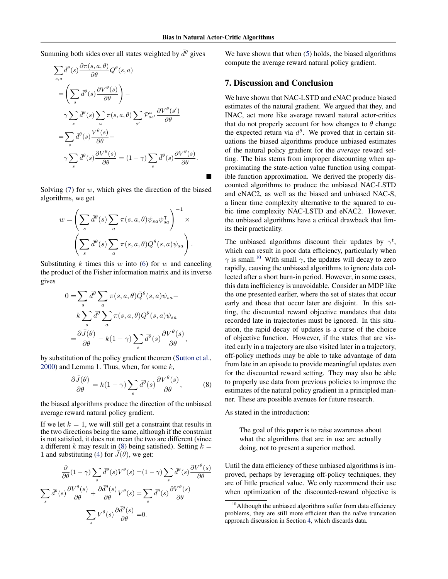Summing both sides over all states weighted by  $\bar{d}^{\theta}$  gives

$$
\sum_{s,a} \overline{d}^{\theta}(s) \frac{\partial \pi(s, a, \theta)}{\partial \theta} Q^{\theta}(s, a)
$$
\n
$$
= \left( \sum_{s} \overline{d}^{\theta}(s) \frac{\partial V^{\theta}(s)}{\partial \theta} \right) -
$$
\n
$$
\gamma \sum_{s} \overline{d}^{\theta}(s) \sum_{a} \pi(s, a, \theta) \sum_{s'} \mathcal{P}_{ss'}^{a} \frac{\partial V^{\theta}(s')}{\partial \theta}
$$
\n
$$
= \sum_{s} \overline{d}^{\theta}(s) \frac{V^{\theta}(s)}{\partial \theta} -
$$
\n
$$
\gamma \sum_{s} \overline{d}^{\theta}(s) \frac{\partial V^{\theta}(s)}{\partial \theta} = (1 - \gamma) \sum_{s} \overline{d}^{\theta}(s) \frac{\partial V^{\theta}(s)}{\partial \theta}.
$$

Solving  $(7)$  for  $w$ , which gives the direction of the biased algorithms, we get

$$
w = \left(\sum_{s} \bar{d}^{\theta}(s) \sum_{a} \pi(s, a, \theta) \psi_{sa} \psi_{sa}^{\mathsf{T}}\right)^{-1} \times \left(\sum_{s} \bar{d}^{\theta}(s) \sum_{a} \pi(s, a, \theta) Q^{\theta}(s, a) \psi_{sa}\right).
$$

Substituting  $k$  times this  $w$  into [\(6\)](#page-5-0) for  $w$  and canceling the product of the Fisher information matrix and its inverse gives

$$
0 = \sum_{s} \bar{d}^{\theta} \sum_{a} \pi(s, a, \theta) \bar{Q}^{\theta}(s, a) \psi_{sa} - k \sum_{s} \bar{d}^{\theta} \sum_{a} \pi(s, a, \theta) Q^{\theta}(s, a) \psi_{sa} = \frac{\partial \bar{J}(\theta)}{\partial \theta} - k(1 - \gamma) \sum_{s} \bar{d}^{\theta}(s) \frac{\partial V^{\theta}(s)}{\partial \theta},
$$

by substitution of the policy gradient theorem [\(Sutton et al.,](#page-7-0)  $2000$ ) and Lemma 1. Thus, when, for some  $k$ ,

$$
\frac{\partial \bar{J}(\theta)}{\partial \theta} = k(1 - \gamma) \sum_{s} \bar{d}^{\theta}(s) \frac{\partial V^{\theta}(s)}{\partial \theta}, \quad (8)
$$

the biased algorithms produce the direction of the unbiased average reward natural policy gradient.

If we let  $k = 1$ , we will still get a constraint that results in the two directions being the same, although if the constraint is not satisfied, it does not mean the two are different (since a different k may result in (8) being satisfied). Setting  $k =$ 1 and substituting [\(4\)](#page-4-0) for  $\bar{J}(\theta)$ , we get:

$$
\frac{\partial}{\partial \theta} (1 - \gamma) \sum_{s} \overline{d}^{\theta}(s) V^{\theta}(s) = (1 - \gamma) \sum_{s} \overline{d}^{\theta}(s) \frac{\partial V^{\theta}(s)}{\partial \theta}
$$

$$
\sum_{s} \overline{d}^{\theta}(s) \frac{\partial V^{\theta}(s)}{\partial \theta} + \frac{\partial \overline{d}^{\theta}(s)}{\partial \theta} V^{\theta}(s) = \sum_{s} \overline{d}^{\theta}(s) \frac{\partial V^{\theta}(s)}{\partial \theta}
$$

$$
\sum_{s} V^{\theta}(s) \frac{\partial \overline{d}^{\theta}(s)}{\partial \theta} = 0.
$$

We have shown that when  $(5)$  holds, the biased algorithms compute the average reward natural policy gradient.

#### 7. Discussion and Conclusion

We have shown that NAC-LSTD and eNAC produce biased estimates of the natural gradient. We argued that they, and INAC, act more like average reward natural actor-critics that do not properly account for how changes to  $\theta$  change the expected return via  $d^{\theta}$ . We proved that in certain situations the biased algorithms produce unbiased estimates of the natural policy gradient for the *average* reward setting. The bias stems from improper discounting when approximating the state-action value function using compatible function approximation. We derived the properly discounted algorithms to produce the unbiased NAC-LSTD and eNAC2, as well as the biased and unbiased NAC-S, a linear time complexity alternative to the squared to cubic time complexity NAC-LSTD and eNAC2. However, the unbiased algorithms have a critical drawback that limits their practicality.

The unbiased algorithms discount their updates by  $\gamma^t$ , which can result in poor data efficiency, particularly when  $\gamma$  is small.<sup>10</sup> With small  $\gamma$ , the updates will decay to zero rapidly, causing the unbiased algorithms to ignore data collected after a short burn-in period. However, in some cases, this data inefficiency is unavoidable. Consider an MDP like the one presented earlier, where the set of states that occur early and those that occur later are disjoint. In this setting, the discounted reward objective mandates that data recorded late in trajectories must be ignored. In this situation, the rapid decay of updates is a curse of the choice of objective function. However, if the states that are visited early in a trajectory are also visited later in a trajectory, off-policy methods may be able to take advantage of data from late in an episode to provide meaningful updates even for the discounted reward setting. They may also be able to properly use data from previous policies to improve the estimates of the natural policy gradient in a principled manner. These are possible avenues for future research.

As stated in the introduction:

The goal of this paper is to raise awareness about what the algorithms that are in use are actually doing, not to present a superior method.

Until the data efficiency of these unbiased algorithms is improved, perhaps by leveraging off-policy techniques, they are of little practical value. We only recommend their use when optimization of the discounted-reward objective is

 $10$ Although the unbiased algorithms suffer from data efficiency problems, they are still more efficient than the naïve truncation approach discussion in Section [4,](#page-1-0) which discards data.